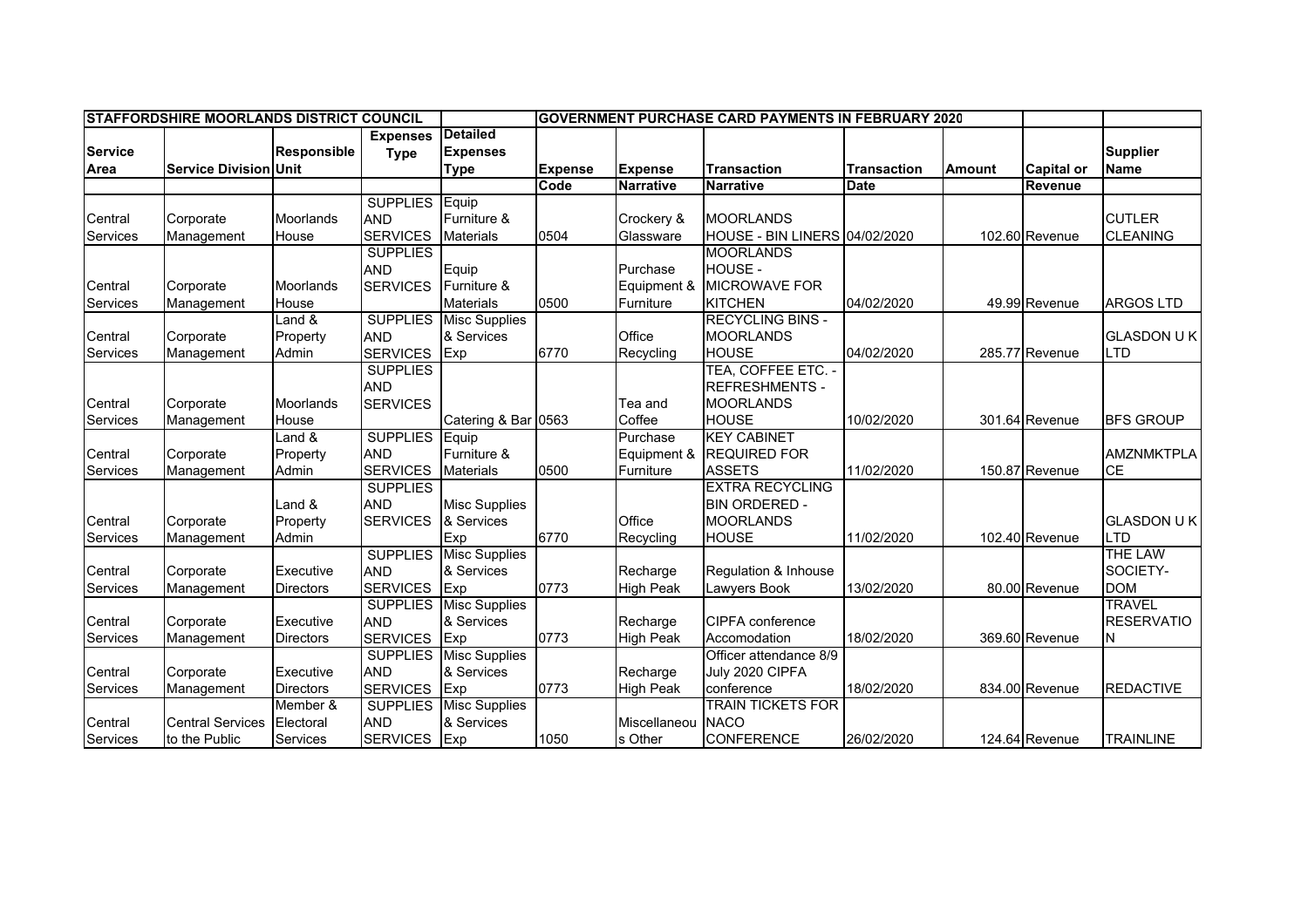| <b>STAFFORDSHIRE MOORLANDS DISTRICT COUNCIL</b> |                              |                              |                 |                      | <b>IGOVERNMENT PURCHASE CARD PAYMENTS IN FEBRUARY 2020</b> |                  |                               |                    |               |                   |                   |
|-------------------------------------------------|------------------------------|------------------------------|-----------------|----------------------|------------------------------------------------------------|------------------|-------------------------------|--------------------|---------------|-------------------|-------------------|
|                                                 |                              |                              | <b>Expenses</b> | <b>Detailed</b>      |                                                            |                  |                               |                    |               |                   |                   |
| <b>Service</b>                                  |                              | <b>Responsible</b>           | <b>Type</b>     | <b>Expenses</b>      |                                                            |                  |                               |                    |               |                   | <b>Supplier</b>   |
| Area                                            | <b>Service Division Unit</b> |                              |                 | <b>Type</b>          | <b>Expense</b>                                             | <b>Expense</b>   | <b>Transaction</b>            | <b>Transaction</b> | <b>Amount</b> | <b>Capital or</b> | <b>Name</b>       |
|                                                 |                              |                              |                 |                      | Code                                                       | <b>Narrative</b> | <b>Narrative</b>              | Date               |               | Revenue           |                   |
|                                                 |                              |                              | <b>SUPPLIES</b> | Equip                |                                                            |                  |                               |                    |               |                   |                   |
| Central                                         | Corporate                    | Moorlands                    | <b>AND</b>      | Furniture &          |                                                            | Crockery &       | <b>MOORLANDS</b>              |                    |               |                   | <b>CUTLER</b>     |
| Services                                        | Management                   | House                        | <b>SERVICES</b> | <b>Materials</b>     | 0504                                                       | Glassware        | HOUSE - BIN LINERS 04/02/2020 |                    |               | 102.60 Revenue    | <b>CLEANING</b>   |
|                                                 |                              |                              | <b>SUPPLIES</b> |                      |                                                            |                  | <b>MOORLANDS</b>              |                    |               |                   |                   |
|                                                 |                              |                              | <b>AND</b>      | Equip                |                                                            | Purchase         | HOUSE -                       |                    |               |                   |                   |
| Central                                         | Corporate                    | Moorlands                    | <b>SERVICES</b> | Furniture &          |                                                            | Equipment &      | <b>MICROWAVE FOR</b>          |                    |               |                   |                   |
| Services                                        | Management                   | House                        |                 | <b>Materials</b>     | 0500                                                       | Furniture        | <b>KITCHEN</b>                | 04/02/2020         |               | 49.99 Revenue     | <b>ARGOS LTD</b>  |
|                                                 |                              | and &                        | <b>SUPPLIES</b> | <b>Misc Supplies</b> |                                                            |                  | <b>RECYCLING BINS -</b>       |                    |               |                   |                   |
| Central                                         | Corporate                    | Property                     | <b>AND</b>      | & Services           |                                                            | Office           | <b>MOORLANDS</b>              |                    |               |                   | <b>GLASDON UK</b> |
| Services                                        | Management                   | Admin                        | <b>SERVICES</b> | Exp                  | 6770                                                       | Recycling        | <b>HOUSE</b>                  | 04/02/2020         |               | 285.77 Revenue    | <b>LTD</b>        |
|                                                 |                              |                              | <b>SUPPLIES</b> |                      |                                                            |                  | TEA, COFFEE ETC. -            |                    |               |                   |                   |
|                                                 |                              |                              | <b>AND</b>      |                      |                                                            |                  | <b>REFRESHMENTS -</b>         |                    |               |                   |                   |
| Central                                         | Corporate                    | Moorlands                    | <b>SERVICES</b> |                      |                                                            | Tea and          | <b>MOORLANDS</b>              |                    |               |                   |                   |
| Services                                        | Management                   | House                        |                 | Catering & Bar 0563  |                                                            | Coffee           | <b>HOUSE</b>                  | 10/02/2020         |               | 301.64 Revenue    | <b>BFS GROUP</b>  |
|                                                 |                              | Land $\overline{\mathbf{g}}$ | <b>SUPPLIES</b> | Equip                |                                                            | Purchase         | <b>KEY CABINET</b>            |                    |               |                   |                   |
| Central                                         | Corporate                    | Property                     | <b>AND</b>      | Furniture &          |                                                            | Equipment &      | <b>REQUIRED FOR</b>           |                    |               |                   | <b>AMZNMKTPLA</b> |
| Services                                        | Management                   | Admin                        | <b>SERVICES</b> | <b>Materials</b>     | 0500                                                       | Furniture        | <b>ASSETS</b>                 | 11/02/2020         |               | 150.87 Revenue    | <b>CE</b>         |
|                                                 |                              |                              | <b>SUPPLIES</b> |                      |                                                            |                  | <b>EXTRA RECYCLING</b>        |                    |               |                   |                   |
|                                                 |                              | Land &                       | <b>AND</b>      | <b>Misc Supplies</b> |                                                            |                  | <b>BIN ORDERED -</b>          |                    |               |                   |                   |
| Central                                         | Corporate                    | Property                     | <b>SERVICES</b> | & Services           |                                                            | Office           | <b>MOORLANDS</b>              |                    |               |                   | <b>GLASDON UK</b> |
| Services                                        | Management                   | Admin                        |                 | Exp                  | 6770                                                       | Recycling        | <b>HOUSE</b>                  | 11/02/2020         |               | 102.40 Revenue    | <b>LTD</b>        |
|                                                 |                              |                              | <b>SUPPLIES</b> | <b>Misc Supplies</b> |                                                            |                  |                               |                    |               |                   | <b>THE LAW</b>    |
| Central                                         | Corporate                    | Executive                    | <b>AND</b>      | & Services           |                                                            | Recharge         | Regulation & Inhouse          |                    |               |                   | SOCIETY-          |
| Services                                        | Management                   | <b>Directors</b>             | <b>SERVICES</b> | Exp                  | 0773                                                       | <b>High Peak</b> | Lawyers Book                  | 13/02/2020         |               | 80.00 Revenue     | <b>DOM</b>        |
|                                                 |                              |                              | <b>SUPPLIES</b> | <b>Misc Supplies</b> |                                                            |                  |                               |                    |               |                   | <b>TRAVEL</b>     |
| Central                                         | Corporate                    | Executive                    | <b>AND</b>      | & Services           |                                                            | Recharge         | <b>CIPFA</b> conference       |                    |               |                   | <b>RESERVATIO</b> |
| Services                                        | Management                   | <b>Directors</b>             | <b>SERVICES</b> | Exp                  | 0773                                                       | <b>High Peak</b> | Accomodation                  | 18/02/2020         |               | 369.60 Revenue    | ΙN                |
|                                                 |                              |                              | <b>SUPPLIES</b> | <b>Misc Supplies</b> |                                                            |                  | Officer attendance 8/9        |                    |               |                   |                   |
| Central                                         | Corporate                    | Executive                    | <b>AND</b>      | & Services           |                                                            | Recharge         | July 2020 CIPFA               |                    |               |                   |                   |
| Services                                        | Management                   | <b>Directors</b>             | <b>SERVICES</b> | Exp                  | 0773                                                       | High Peak        | conference                    | 18/02/2020         |               | 834.00 Revenue    | <b>REDACTIVE</b>  |
|                                                 |                              | Member &                     | <b>SUPPLIES</b> | <b>Misc Supplies</b> |                                                            |                  | <b>TRAIN TICKETS FOR</b>      |                    |               |                   |                   |
| Central                                         | <b>Central Services</b>      | Electoral                    | <b>AND</b>      | & Services           |                                                            | Miscellaneou     | <b>NACO</b>                   |                    |               |                   |                   |
| Services                                        | to the Public                | Services                     | <b>SERVICES</b> | Exp                  | 1050                                                       | s Other          | <b>CONFERENCE</b>             | 26/02/2020         |               | 124.64 Revenue    | <b>TRAINLINE</b>  |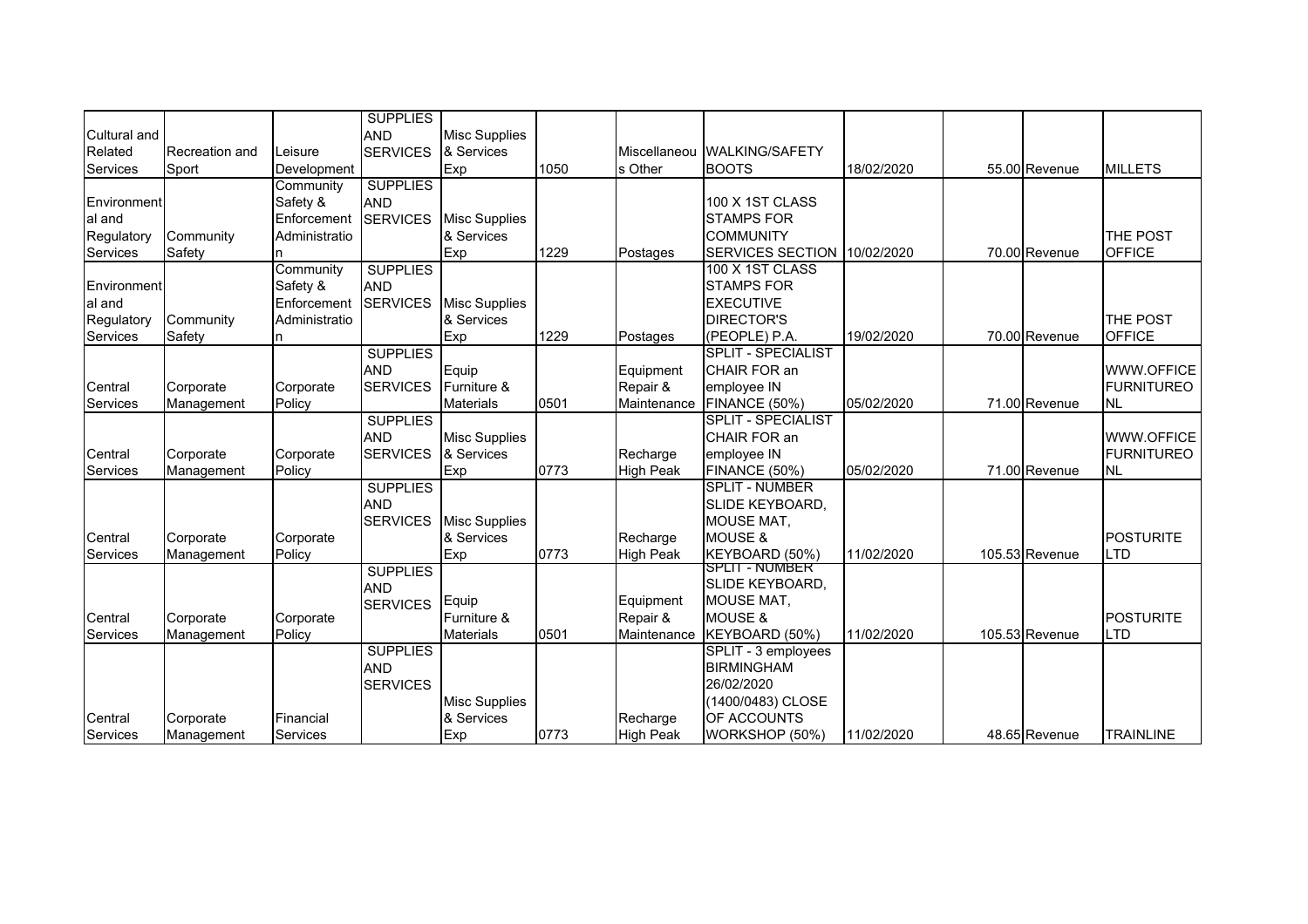| Cultural and<br>Related                         | Recreation and          | Leisure                                                     | <b>SUPPLIES</b><br><b>AND</b><br><b>SERVICES</b> | <b>Misc Supplies</b><br>& Services        |      |                                      | Miscellaneou WALKING/SAFETY                                                                                  |            |                |                                              |
|-------------------------------------------------|-------------------------|-------------------------------------------------------------|--------------------------------------------------|-------------------------------------------|------|--------------------------------------|--------------------------------------------------------------------------------------------------------------|------------|----------------|----------------------------------------------|
| Services                                        | Sport                   | Development                                                 |                                                  | Exp                                       | 1050 | s Other                              | <b>BOOTS</b>                                                                                                 | 18/02/2020 | 55.00 Revenue  | <b>MILLETS</b>                               |
| Environment<br>al and<br>Regulatory<br>Services | Community<br>Safety     | Community<br>Safety &<br>Enforcement<br>Administratio<br>n. | <b>SUPPLIES</b><br><b>AND</b><br><b>SERVICES</b> | <b>Misc Supplies</b><br>& Services<br>Exp | 1229 | Postages                             | 100 X 1ST CLASS<br><b>STAMPS FOR</b><br><b>COMMUNITY</b><br>SERVICES SECTION 10/02/2020                      |            | 70.00 Revenue  | THE POST<br><b>OFFICE</b>                    |
| Environment<br>al and<br>Regulatory<br>Services | Community<br>Safety     | Community<br>Safety &<br>Enforcement<br>Administratio       | <b>SUPPLIES</b><br><b>AND</b><br><b>SERVICES</b> | <b>Misc Supplies</b><br>& Services<br>Exp | 1229 | Postages                             | 100 X 1ST CLASS<br><b>STAMPS FOR</b><br><b>EXECUTIVE</b><br><b>DIRECTOR'S</b><br>(PEOPLE) P.A.               | 19/02/2020 | 70.00 Revenue  | THE POST<br><b>OFFICE</b>                    |
| Central<br>Services                             | Corporate<br>Management | Corporate<br>Policy                                         | <b>SUPPLIES</b><br><b>AND</b><br><b>SERVICES</b> | Equip<br>Furniture &<br><b>Materials</b>  | 0501 | Equipment<br>Repair &<br>Maintenance | <b>SPLIT - SPECIALIST</b><br>CHAIR FOR an<br>employee IN<br>FINANCE (50%)                                    | 05/02/2020 | 71.00 Revenue  | WWW.OFFICE<br><b>FURNITUREO</b><br><b>NL</b> |
| Central<br>Services                             | Corporate<br>Management | Corporate<br>Policy                                         | <b>SUPPLIES</b><br><b>AND</b><br><b>SERVICES</b> | <b>Misc Supplies</b><br>& Services<br>Exp | 0773 | Recharge<br>High Peak                | <b>SPLIT - SPECIALIST</b><br>CHAIR FOR an<br>employee IN<br><b>FINANCE (50%)</b>                             | 05/02/2020 | 71.00 Revenue  | WWW.OFFICE<br><b>FURNITUREO</b><br><b>NL</b> |
| Central<br>Services                             | Corporate<br>Management | Corporate<br>Policy                                         | <b>SUPPLIES</b><br><b>AND</b><br><b>SERVICES</b> | <b>Misc Supplies</b><br>& Services<br>Exp | 0773 | Recharge<br><b>High Peak</b>         | <b>SPLIT - NUMBER</b><br><b>SLIDE KEYBOARD.</b><br><b>MOUSE MAT,</b><br><b>MOUSE &amp;</b><br>KEYBOARD (50%) | 11/02/2020 | 105.53 Revenue | <b>POSTURITE</b><br>LTD                      |
| Central<br>Services                             | Corporate<br>Management | Corporate<br>Policy                                         | <b>SUPPLIES</b><br><b>AND</b><br><b>SERVICES</b> | Equip<br>Furniture &<br><b>Materials</b>  | 0501 | Equipment<br>Repair &<br>Maintenance | <b>SPLIT - NUMBER</b><br>SLIDE KEYBOARD,<br><b>MOUSE MAT.</b><br><b>MOUSE &amp;</b><br>KEYBOARD (50%)        | 11/02/2020 | 105.53 Revenue | <b>POSTURITE</b><br><b>LTD</b>               |
| Central                                         | Corporate               | Financial                                                   | <b>SUPPLIES</b><br><b>AND</b><br><b>SERVICES</b> | <b>Misc Supplies</b><br>& Services        |      | Recharge                             | SPLIT - 3 employees<br><b>BIRMINGHAM</b><br>26/02/2020<br>(1400/0483) CLOSE<br>OF ACCOUNTS                   |            |                |                                              |
| Services                                        | Management              | Services                                                    |                                                  | Exp                                       | 0773 | <b>High Peak</b>                     | WORKSHOP (50%)                                                                                               | 11/02/2020 | 48.65 Revenue  | <b>TRAINLINE</b>                             |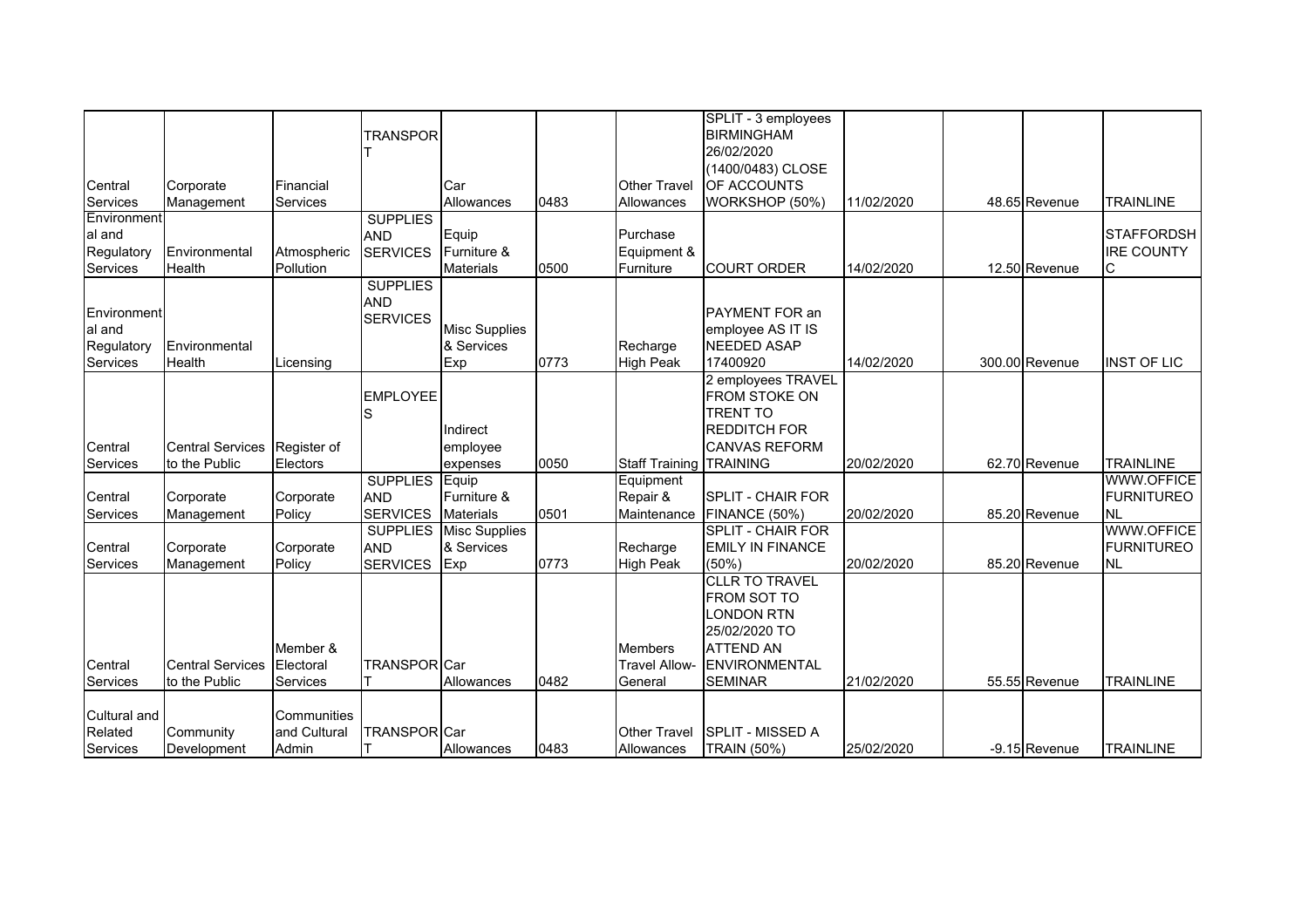|                            |                         |                       | <b>TRANSPOR</b>     |                      |      |                                   | SPLIT - 3 employees<br><b>BIRMINGHAM</b>    |            |                |                    |
|----------------------------|-------------------------|-----------------------|---------------------|----------------------|------|-----------------------------------|---------------------------------------------|------------|----------------|--------------------|
|                            |                         |                       |                     |                      |      |                                   | 26/02/2020                                  |            |                |                    |
|                            |                         |                       |                     |                      |      |                                   | (1400/0483) CLOSE                           |            |                |                    |
| Central<br><b>Services</b> | Corporate<br>Management | Financial<br>Services |                     | Car<br>Allowances    | 0483 | <b>Other Travel</b><br>Allowances | OF ACCOUNTS<br>WORKSHOP (50%)               | 11/02/2020 | 48.65 Revenue  | <b>TRAINLINE</b>   |
| Environment                |                         |                       | <b>SUPPLIES</b>     |                      |      |                                   |                                             |            |                |                    |
| al and                     |                         |                       | <b>AND</b>          | Equip                |      | Purchase                          |                                             |            |                | <b>STAFFORDSH</b>  |
| Regulatory                 | Environmental           | Atmospheric           | <b>SERVICES</b>     | Furniture &          |      | Equipment &                       |                                             |            |                | <b>IRE COUNTY</b>  |
| Services                   | Health                  | Pollution             |                     | <b>Materials</b>     | 0500 | Furniture                         | <b>COURT ORDER</b>                          | 14/02/2020 | 12.50 Revenue  | С                  |
|                            |                         |                       | <b>SUPPLIES</b>     |                      |      |                                   |                                             |            |                |                    |
| Environment                |                         |                       | <b>AND</b>          |                      |      |                                   | PAYMENT FOR an                              |            |                |                    |
| al and                     |                         |                       | <b>SERVICES</b>     | <b>Misc Supplies</b> |      |                                   | employee AS IT IS                           |            |                |                    |
| Regulatory                 | Environmental           |                       |                     | & Services           |      | Recharge                          | <b>NEEDED ASAP</b>                          |            |                |                    |
| <b>Services</b>            | <b>Health</b>           | Licensing             |                     | Exp                  | 0773 | <b>High Peak</b>                  | 17400920                                    | 14/02/2020 | 300.00 Revenue | <b>INST OF LIC</b> |
|                            |                         |                       |                     |                      |      |                                   | 2 employees TRAVEL                          |            |                |                    |
|                            |                         |                       | <b>EMPLOYEE</b>     |                      |      |                                   | FROM STOKE ON                               |            |                |                    |
|                            |                         |                       | S                   |                      |      |                                   | <b>TRENT TO</b>                             |            |                |                    |
| Central                    | <b>Central Services</b> | Register of           |                     | Indirect             |      |                                   | <b>REDDITCH FOR</b><br><b>CANVAS REFORM</b> |            |                |                    |
| Services                   | to the Public           | Electors              |                     | employee<br>expenses | 0050 | <b>Staff Training TRAINING</b>    |                                             | 20/02/2020 | 62.70 Revenue  | <b>TRAINLINE</b>   |
|                            |                         |                       | <b>SUPPLIES</b>     | Equip                |      | Equipment                         |                                             |            |                | <b>WWW.OFFICE</b>  |
| Central                    | Corporate               | Corporate             | <b>AND</b>          | Furniture &          |      | Repair &                          | <b>SPLIT - CHAIR FOR</b>                    |            |                | <b>FURNITUREO</b>  |
| Services                   | Management              | Policy                | <b>SERVICES</b>     | <b>Materials</b>     | 0501 | Maintenance                       | <b>FINANCE (50%)</b>                        | 20/02/2020 | 85.20 Revenue  | <b>NL</b>          |
|                            |                         |                       | <b>SUPPLIES</b>     | <b>Misc Supplies</b> |      |                                   | <b>SPLIT - CHAIR FOR</b>                    |            |                | <b>WWW.OFFICE</b>  |
| Central                    | Corporate               | Corporate             | <b>AND</b>          | & Services           |      | Recharge                          | <b>EMILY IN FINANCE</b>                     |            |                | <b>FURNITUREO</b>  |
| Services                   | Management              | Policy                | <b>SERVICES</b>     | Exp                  | 0773 | <b>High Peak</b>                  | (50%)                                       | 20/02/2020 | 85.20 Revenue  | <b>NL</b>          |
|                            |                         |                       |                     |                      |      |                                   | <b>CLLR TO TRAVEL</b>                       |            |                |                    |
|                            |                         |                       |                     |                      |      |                                   | <b>FROM SOT TO</b>                          |            |                |                    |
|                            |                         |                       |                     |                      |      |                                   | <b>LONDON RTN</b><br>25/02/2020 TO          |            |                |                    |
|                            |                         | Member &              |                     |                      |      | <b>Members</b>                    | <b>ATTEND AN</b>                            |            |                |                    |
| Central                    | <b>Central Services</b> | Electoral             | <b>TRANSPOR</b> Car |                      |      | <b>Travel Allow-</b>              | <b>ENVIRONMENTAL</b>                        |            |                |                    |
| Services                   | to the Public           | Services              |                     | Allowances           | 0482 | General                           | <b>SEMINAR</b>                              | 21/02/2020 | 55.55 Revenue  | <b>TRAINLINE</b>   |
| Cultural and               |                         | Communities           |                     |                      |      |                                   |                                             |            |                |                    |
| Related                    | Community               | and Cultural          | <b>TRANSPORICar</b> |                      |      | Other Travel                      | <b>ISPLIT - MISSED A</b>                    |            |                |                    |
| Services                   | Development             | Admin                 |                     | Allowances           | 0483 | Allowances                        | <b>TRAIN (50%)</b>                          | 25/02/2020 | -9.15 Revenue  | <b>TRAINLINE</b>   |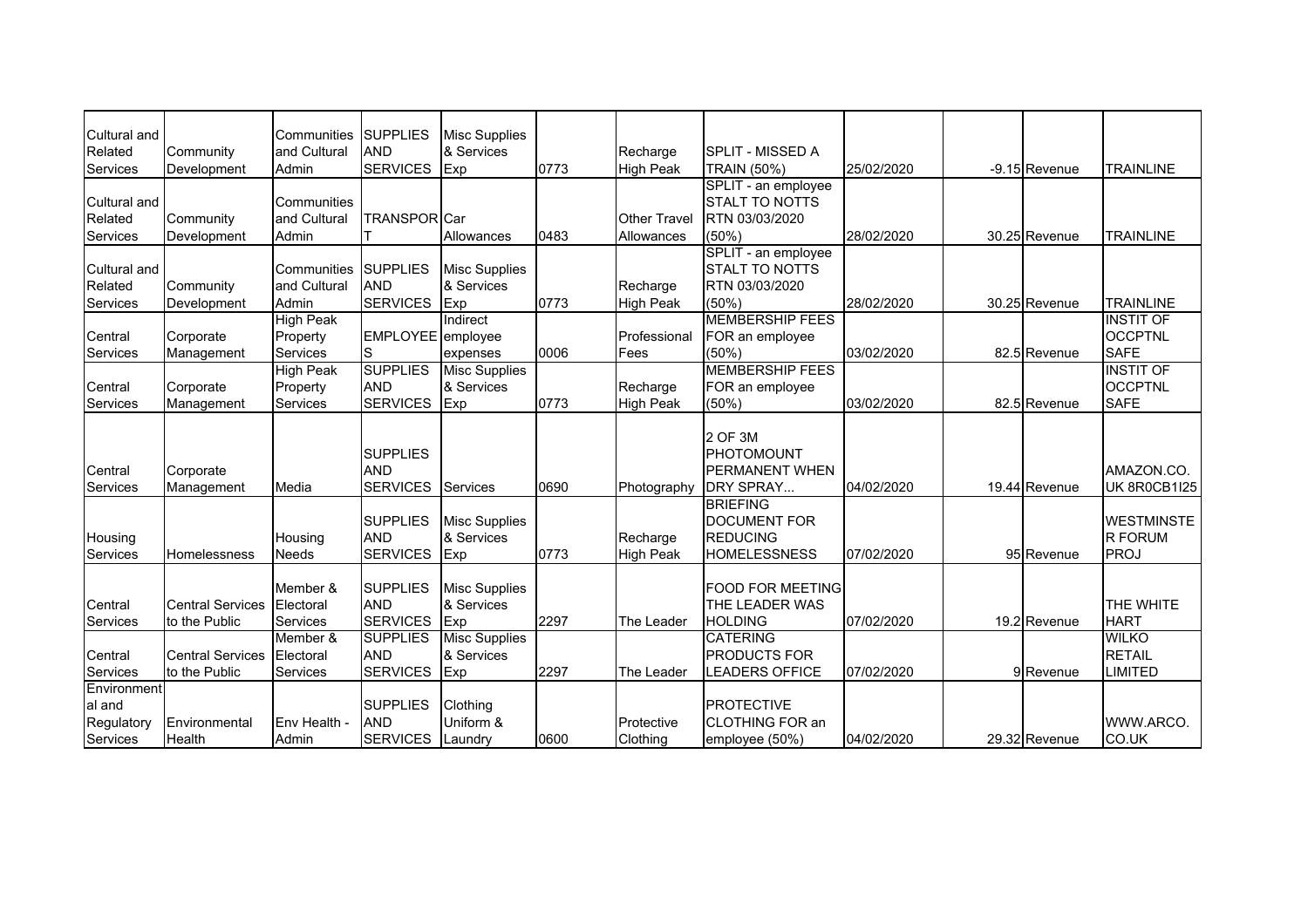| Cultural and<br>Related | Community               | Communities<br>and Cultural | <b>SUPPLIES</b><br><b>AND</b> | <b>Misc Supplies</b><br>& Services |      | Recharge         | <b>SPLIT - MISSED A</b>  |            |               |                     |
|-------------------------|-------------------------|-----------------------------|-------------------------------|------------------------------------|------|------------------|--------------------------|------------|---------------|---------------------|
| Services                | Development             | Admin                       | <b>SERVICES</b>               | Exp                                | 0773 | <b>High Peak</b> | <b>TRAIN (50%)</b>       | 25/02/2020 | -9.15 Revenue | <b>TRAINLINE</b>    |
|                         |                         |                             |                               |                                    |      |                  | SPLIT - an employee      |            |               |                     |
| Cultural and            |                         | Communities                 |                               |                                    |      |                  | <b>STALT TO NOTTS</b>    |            |               |                     |
| Related                 | Community               | and Cultural                | <b>TRANSPORICar</b>           |                                    |      | Other Travel     | RTN 03/03/2020           |            |               |                     |
| Services                | Development             | Admin                       |                               | Allowances                         | 0483 | Allowances       | (50%)                    | 28/02/2020 | 30.25 Revenue | <b>TRAINLINE</b>    |
|                         |                         |                             |                               |                                    |      |                  | SPLIT - an employee      |            |               |                     |
| Cultural and            |                         | Communities                 | <b>SUPPLIES</b>               | <b>Misc Supplies</b>               |      |                  | <b>STALT TO NOTTS</b>    |            |               |                     |
| Related                 | Community               | and Cultural                | <b>AND</b>                    | & Services                         |      | Recharge         | RTN 03/03/2020           |            |               |                     |
| Services                | Development             | Admin                       | <b>SERVICES</b>               | Exp                                | 0773 | <b>High Peak</b> | (50%                     | 28/02/2020 | 30.25 Revenue | <b>TRAINLINE</b>    |
|                         |                         | <b>High Peak</b>            |                               | Indirect                           |      |                  | <b>MEMBERSHIP FEES</b>   |            |               | <b>INSTIT OF</b>    |
| Central                 | Corporate               | Property                    | EMPLOYEE employee             |                                    |      | Professional     | FOR an employee          |            |               | <b>OCCPTNL</b>      |
| Services                | Management              | Services                    | S                             | expenses                           | 0006 | Fees             | (50%                     | 03/02/2020 | 82.5 Revenue  | <b>SAFE</b>         |
|                         |                         | <b>High Peak</b>            | <b>SUPPLIES</b>               | <b>Misc Supplies</b>               |      |                  | <b>MEMBERSHIP FEES</b>   |            |               | <b>INSTIT OF</b>    |
| Central                 | Corporate               | Property                    | <b>AND</b>                    | & Services                         |      | Recharge         | FOR an employee          |            |               | <b>OCCPTNL</b>      |
| Services                | Management              | Services                    | <b>SERVICES</b>               | Exp                                | 0773 | <b>High Peak</b> | $(50\%)$                 | 03/02/2020 | 82.5 Revenue  | <b>SAFE</b>         |
|                         |                         |                             |                               |                                    |      |                  | 2 OF 3M                  |            |               |                     |
|                         |                         |                             | <b>SUPPLIES</b>               |                                    |      |                  | PHOTOMOUNT               |            |               |                     |
| Central                 | Corporate               |                             | <b>AND</b>                    |                                    |      |                  | <b>PERMANENT WHEN</b>    |            |               | AMAZON.CO.          |
| Services                | Management              | Media                       | <b>SERVICES</b>               | <b>Services</b>                    | 0690 | Photography      | <b>DRY SPRAY</b>         | 04/02/2020 | 19.44 Revenue | <b>UK 8R0CB1I25</b> |
|                         |                         |                             |                               |                                    |      |                  | <b>BRIEFING</b>          |            |               |                     |
|                         |                         |                             | <b>SUPPLIES</b>               | <b>Misc Supplies</b>               |      |                  | <b>DOCUMENT FOR</b>      |            |               | <b>WESTMINSTE</b>   |
| Housing                 |                         | Housing                     | <b>AND</b>                    | & Services                         |      | Recharge         | <b>REDUCING</b>          |            |               | <b>R FORUM</b>      |
| Services                | Homelessness            | Needs                       | <b>SERVICES</b>               | Exp                                | 0773 | <b>High Peak</b> | <b>HOMELESSNESS</b>      | 07/02/2020 | 95 Revenue    | <b>PROJ</b>         |
|                         |                         |                             |                               |                                    |      |                  |                          |            |               |                     |
|                         |                         | Member &                    | <b>SUPPLIES</b>               | <b>Misc Supplies</b>               |      |                  | <b>FOOD FOR MEETING</b>  |            |               |                     |
| Central                 | <b>Central Services</b> | Electoral                   | <b>AND</b>                    | & Services                         |      |                  | THE LEADER WAS           |            |               | <b>THE WHITE</b>    |
| Services                | to the Public           | Services                    | <b>SERVICES</b>               | Exp                                | 2297 | The Leader       | <b>HOLDING</b>           | 07/02/2020 | 19.2 Revenue  | <b>HART</b>         |
|                         |                         | Member &                    | <b>SUPPLIES</b>               | <b>Misc Supplies</b>               |      |                  | <b>CATERING</b>          |            |               | <b>WILKO</b>        |
| Central                 | <b>Central Services</b> | Electoral                   | <b>AND</b>                    | & Services                         |      |                  | <b>PRODUCTS FOR</b>      |            |               | <b>RETAIL</b>       |
| <b>Services</b>         | to the Public           | Services                    | <b>SERVICES</b>               | <b>Exp</b>                         | 2297 | The Leader       | <b>LEADERS OFFICE</b>    | 07/02/2020 | 9 Revenue     | <b>LIMITED</b>      |
| Environment             |                         |                             |                               |                                    |      |                  |                          |            |               |                     |
| al and                  |                         |                             | <b>SUPPLIES</b>               | Clothing                           |      |                  | <b>PROTECTIVE</b>        |            |               |                     |
| Regulatory              | Environmental           | Env Health -                | <b>AND</b>                    | Uniform &                          |      | Protective       | <b>I</b> CLOTHING FOR an |            |               | WWW.ARCO.           |
| Services                | Health                  | Admin                       | <b>SERVICES</b>               | Laundry                            | 0600 | Clothing         | employee (50%)           | 04/02/2020 | 29.32 Revenue | CO.UK               |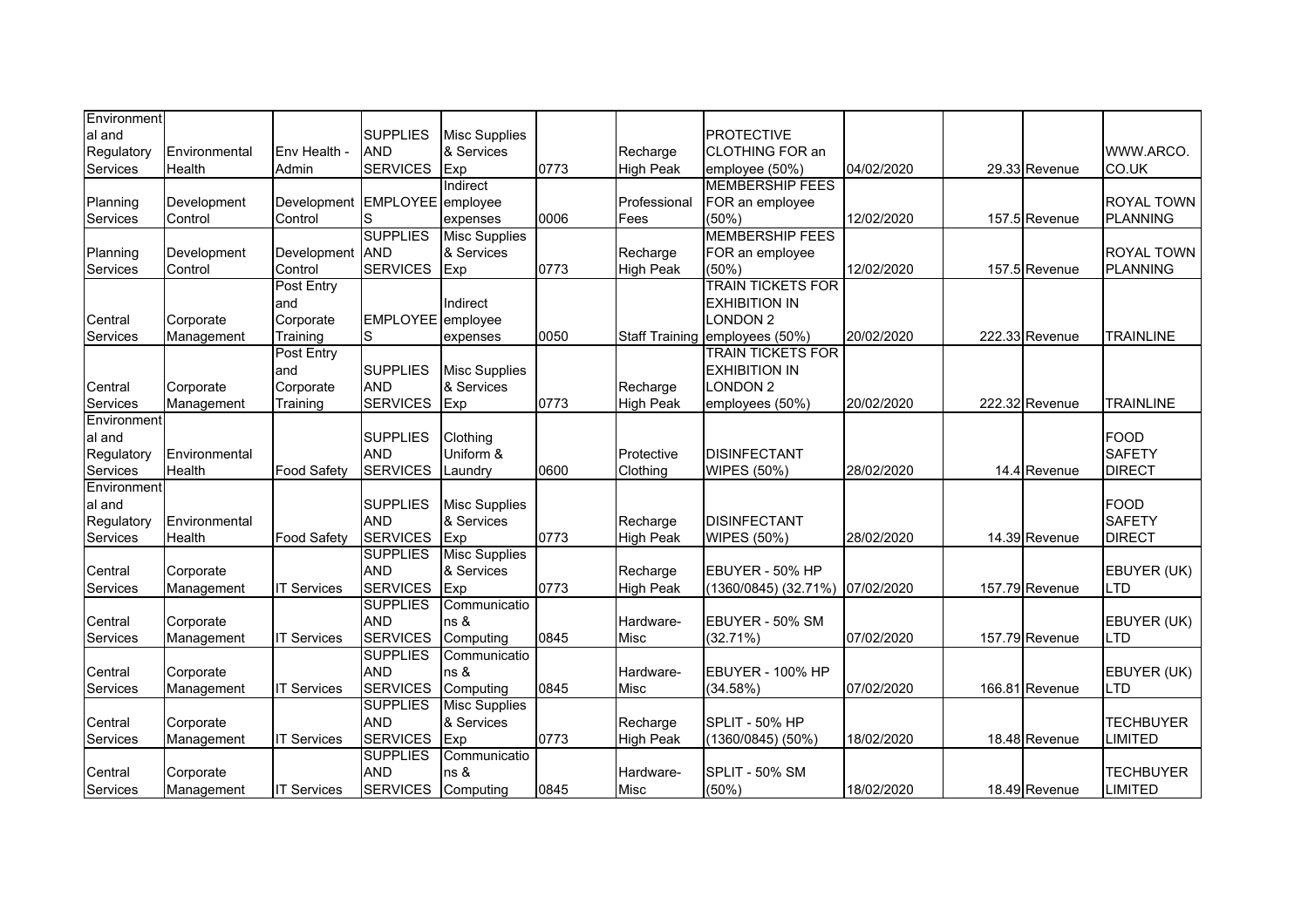| Environment |               |                    |                               |                      |      |                              |                                |            |                |                  |
|-------------|---------------|--------------------|-------------------------------|----------------------|------|------------------------------|--------------------------------|------------|----------------|------------------|
| al and      |               |                    | <b>SUPPLIES</b>               | <b>Misc Supplies</b> |      |                              | <b>PROTECTIVE</b>              |            |                |                  |
| Regulatory  | Environmental | Env Health -       | <b>AND</b>                    | & Services           |      | Recharge                     | <b>CLOTHING FOR an</b>         |            |                | WWW.ARCO.        |
| Services    | Health        | Admin              | <b>SERVICES</b>               | Exp                  | 0773 | <b>High Peak</b>             | employee (50%)                 | 04/02/2020 | 29.33 Revenue  | CO.UK            |
|             |               |                    |                               | Indirect             |      |                              | <b>MEMBERSHIP FEES</b>         |            |                |                  |
| Planning    | Development   | Development        | EMPLOYEE employee             |                      |      | Professional                 | FOR an employee                |            |                | ROYAL TOWN       |
| Services    | Control       | Control            | S                             | expenses             | 0006 | Fees                         | (50%)                          | 12/02/2020 | 157.5 Revenue  | <b>PLANNING</b>  |
|             |               |                    | <b>SUPPLIES</b>               | Misc Supplies        |      |                              | <b>MEMBERSHIP FEES</b>         |            |                |                  |
| Planning    | Development   | Development        | <b>AND</b>                    | & Services           |      | Recharge                     | FOR an employee                |            |                | ROYAL TOWN       |
| Services    | Control       | Control            | <b>SERVICES</b>               | Exp                  | 0773 | <b>High Peak</b>             | (50%                           | 12/02/2020 | 157.5 Revenue  | <b>PLANNING</b>  |
|             |               | Post Entry         |                               |                      |      |                              | <b>TRAIN TICKETS FOR</b>       |            |                |                  |
|             |               | and                |                               | Indirect             |      |                              | <b>EXHIBITION IN</b>           |            |                |                  |
| Central     | Corporate     | Corporate          | EMPLOYEE employee             |                      |      |                              | <b>LONDON 2</b>                |            |                |                  |
| Services    | Management    | Training           | S                             | expenses             | 0050 |                              | Staff Training employees (50%) | 20/02/2020 | 222.33 Revenue | <b>TRAINLINE</b> |
|             |               | Post Entry         |                               |                      |      |                              | <b>TRAIN TICKETS FOR</b>       |            |                |                  |
|             |               | and                | <b>SUPPLIES</b>               | <b>Misc Supplies</b> |      |                              | <b>EXHIBITION IN</b>           |            |                |                  |
| Central     | Corporate     | Corporate          | <b>AND</b>                    | & Services           |      | Recharge                     | <b>LONDON 2</b>                |            |                |                  |
| Services    | Management    | Training           | <b>SERVICES</b>               | Exp                  | 0773 | <b>High Peak</b>             | employees (50%)                | 20/02/2020 | 222.32 Revenue | <b>TRAINLINE</b> |
| Environment |               |                    |                               |                      |      |                              |                                |            |                |                  |
| al and      |               |                    | <b>SUPPLIES</b>               | Clothing             |      |                              |                                |            |                | <b>FOOD</b>      |
| Regulatory  | Environmental |                    | <b>AND</b>                    | Uniform &            |      | Protective                   | <b>DISINFECTANT</b>            |            |                | <b>SAFETY</b>    |
| Services    | Health        | <b>Food Safety</b> | <b>SERVICES</b>               | Laundry              | 0600 | Clothing                     | <b>WIPES (50%)</b>             | 28/02/2020 | 14.4 Revenue   | <b>DIRECT</b>    |
| Environment |               |                    |                               |                      |      |                              |                                |            |                |                  |
| al and      |               |                    | <b>SUPPLIES</b>               | <b>Misc Supplies</b> |      |                              |                                |            |                | FOOD             |
| Regulatory  | Environmental |                    | <b>AND</b>                    | & Services           |      | Recharge                     | <b>DISINFECTANT</b>            |            |                | <b>SAFETY</b>    |
| Services    | Health        | <b>Food Safety</b> | <b>SERVICES</b>               | Exp                  | 0773 | <b>High Peak</b>             | <b>WIPES (50%)</b>             | 28/02/2020 | 14.39 Revenue  | <b>DIRECT</b>    |
|             |               |                    | <b>SUPPLIES</b>               | <b>Misc Supplies</b> |      |                              |                                |            |                |                  |
|             |               |                    | <b>AND</b>                    |                      |      |                              | EBUYER - 50% HP                |            |                | EBUYER (UK)      |
| Central     | Corporate     |                    | <b>SERVICES</b>               | & Services           | 0773 | Recharge<br><b>High Peak</b> | (1360/0845) (32.71%)           | 07/02/2020 | 157.79 Revenue | LTD              |
| Services    | Management    | <b>IT Services</b> |                               | Exp                  |      |                              |                                |            |                |                  |
|             |               |                    | <b>SUPPLIES</b><br><b>AND</b> | Communicatio         |      |                              |                                |            |                |                  |
| Central     | Corporate     |                    |                               | ns &                 | 0845 | Hardware-                    | EBUYER - 50% SM                |            |                | EBUYER (UK)      |
| Services    | Management    | <b>IT Services</b> | <b>SERVICES</b>               | Computing            |      | Misc                         | (32.71%)                       | 07/02/2020 | 157.79 Revenue | LTD              |
|             |               |                    | <b>SUPPLIES</b><br><b>AND</b> | Communicatio         |      |                              |                                |            |                |                  |
| Central     | Corporate     |                    |                               | ns &                 |      | Hardware-                    | <b>EBUYER - 100% HP</b>        |            |                | EBUYER (UK)      |
| Services    | Management    | <b>IT Services</b> | <b>SERVICES</b>               | Computing            | 0845 | <b>Misc</b>                  | (34.58%)                       | 07/02/2020 | 166.81 Revenue | <b>LTD</b>       |
|             |               |                    | <b>SUPPLIES</b>               | <b>Misc Supplies</b> |      |                              |                                |            |                |                  |
| Central     | Corporate     |                    | <b>AND</b>                    | & Services           |      | Recharge                     | SPLIT - 50% HP                 |            |                | <b>TECHBUYER</b> |
| Services    | Management    | <b>IT Services</b> | <b>SERVICES</b>               | Exp                  | 0773 | <b>High Peak</b>             | (1360/0845) (50%)              | 18/02/2020 | 18.48 Revenue  | <b>LIMITED</b>   |
|             |               |                    | <b>SUPPLIES</b>               | Communicatio         |      |                              |                                |            |                |                  |
| Central     | Corporate     |                    | <b>AND</b>                    | ns &                 |      | Hardware-                    | <b>SPLIT - 50% SM</b>          |            |                | <b>TECHBUYER</b> |
| Services    | Management    | <b>IT Services</b> | <b>SERVICES</b>               | Computing            | 0845 | <b>Misc</b>                  | (50%)                          | 18/02/2020 | 18.49 Revenue  | <b>LIMITED</b>   |